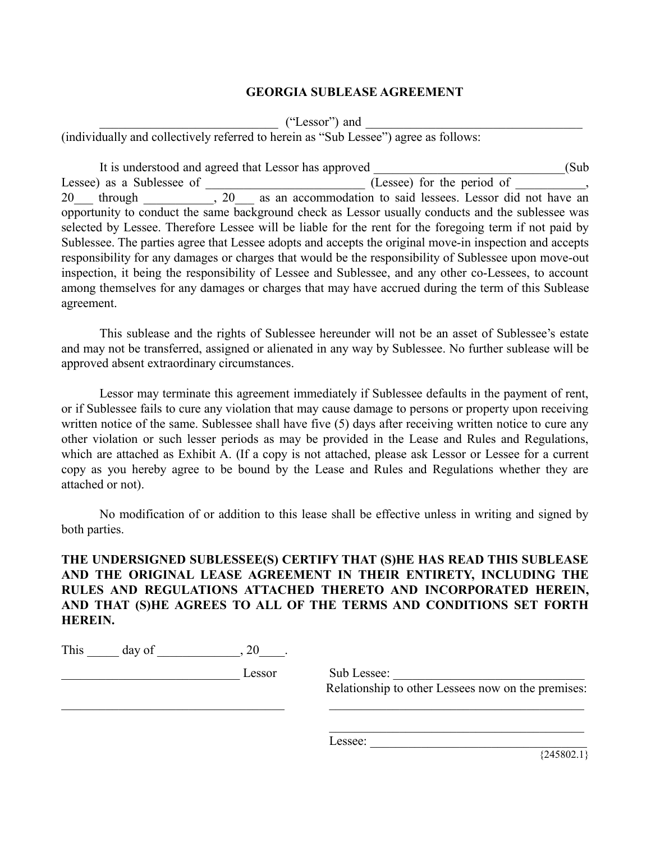## **GEORGIA SUBLEASE AGREEMENT**

 $($ "Lessor" $)$  and

(individually and collectively referred to herein as "Sub Lessee") agree as follows:

It is understood and agreed that Lessor has approved \_\_\_\_\_\_\_\_\_\_\_\_\_\_\_\_\_\_\_\_\_\_\_\_\_\_\_\_\_\_(Sub Lessee) as a Sublessee of  $(Lessee)$  for the period of  $,$ 20 through 20 as an accommodation to said lessees. Lessor did not have an opportunity to conduct the same background check as Lessor usually conducts and the sublessee was selected by Lessee. Therefore Lessee will be liable for the rent for the foregoing term if not paid by Sublessee. The parties agree that Lessee adopts and accepts the original move-in inspection and accepts responsibility for any damages or charges that would be the responsibility of Sublessee upon move-out inspection, it being the responsibility of Lessee and Sublessee, and any other co-Lessees, to account among themselves for any damages or charges that may have accrued during the term of this Sublease agreement.

This sublease and the rights of Sublessee hereunder will not be an asset of Sublessee's estate and may not be transferred, assigned or alienated in any way by Sublessee. No further sublease will be approved absent extraordinary circumstances.

Lessor may terminate this agreement immediately if Sublessee defaults in the payment of rent, or if Sublessee fails to cure any violation that may cause damage to persons or property upon receiving written notice of the same. Sublessee shall have five (5) days after receiving written notice to cure any other violation or such lesser periods as may be provided in the Lease and Rules and Regulations, which are attached as Exhibit A. (If a copy is not attached, please ask Lessor or Lessee for a current copy as you hereby agree to be bound by the Lease and Rules and Regulations whether they are attached or not).

No modification of or addition to this lease shall be effective unless in writing and signed by both parties.

**THE UNDERSIGNED SUBLESSEE(S) CERTIFY THAT (S)HE HAS READ THIS SUBLEASE AND THE ORIGINAL LEASE AGREEMENT IN THEIR ENTIRETY, INCLUDING THE RULES AND REGULATIONS ATTACHED THERETO AND INCORPORATED HEREIN, AND THAT (S)HE AGREES TO ALL OF THE TERMS AND CONDITIONS SET FORTH HEREIN.**

 $\_$  , and the contribution of the contribution of  $\_$  . The contribution of the contribution of  $\mathcal{L}_\mathcal{A}$ 

| This<br>day of |  |
|----------------|--|
|----------------|--|

\_\_\_\_\_\_\_\_\_\_\_\_\_\_\_\_\_\_\_\_\_\_\_\_\_\_\_\_ Lessor Sub Lessee: \_\_\_\_\_\_\_\_\_\_\_\_\_\_\_\_\_\_\_\_\_\_\_\_\_\_\_\_\_\_ Relationship to other Lessees now on the premises:

 $\mathcal{L}_\text{max}$  and  $\mathcal{L}_\text{max}$  and  $\mathcal{L}_\text{max}$  and  $\mathcal{L}_\text{max}$ 

Lessee:

 $\overline{\left\{245802.1\right\}}$